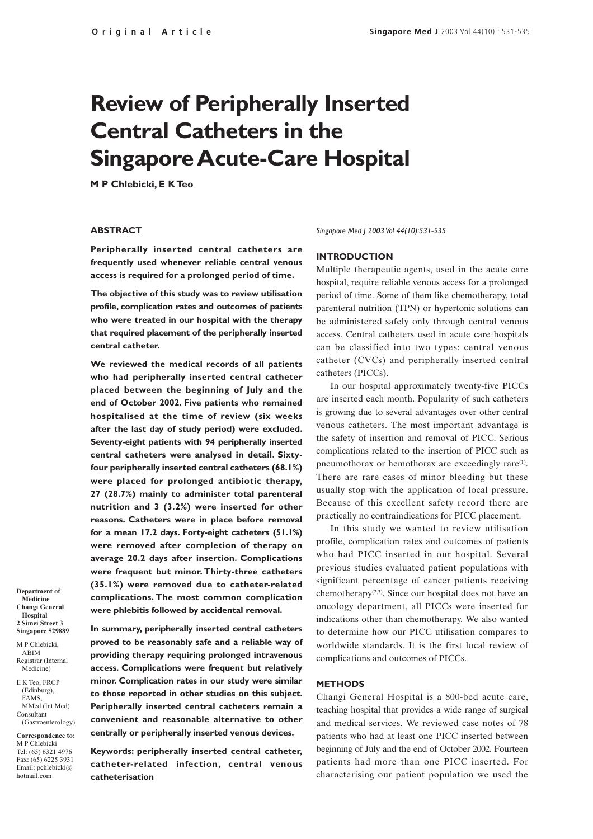# **Review of Peripherally Inserted Central Catheters in the Singapore Acute-Care Hospital**

**M P Chlebicki, E K Teo**

#### **ABSTRACT**

**Peripherally inserted central catheters are frequently used whenever reliable central venous access is required for a prolonged period of time.**

**The objective of this study was to review utilisation profile, complication rates and outcomes of patients who were treated in our hospital with the therapy that required placement of the peripherally inserted central catheter.**

**We reviewed the medical records of all patients who had peripherally inserted central catheter placed between the beginning of July and the end of October 2002. Five patients who remained hospitalised at the time of review (six weeks after the last day of study period) were excluded. Seventy-eight patients with 94 peripherally inserted central catheters were analysed in detail. Sixtyfour peripherally inserted central catheters (68.1%) were placed for prolonged antibiotic therapy, 27 (28.7%) mainly to administer total parenteral nutrition and 3 (3.2%) were inserted for other reasons. Catheters were in place before removal for a mean 17.2 days. Forty-eight catheters (51.1%) were removed after completion of therapy on average 20.2 days after insertion. Complications were frequent but minor. Thirty-three catheters (35.1%) were removed due to catheter-related complications. The most common complication were phlebitis followed by accidental removal.**

**Department of Medicine Changi General Hospital 2 Simei Street 3 Singapore 529889** M P Chlebicki,

ABIM Registrar (Internal Medicine)

E K Teo, FRCP (Edinburg), FAMS, MMed (Int Med) Consultant (Gastroenterology)

**Correspondence to:** M P Chlebicki Tel: (65) 6321 4976 Fax: (65) 6225 3931 Email: pchlebicki@ hotmail.com

**In summary, peripherally inserted central catheters proved to be reasonably safe and a reliable way of providing therapy requiring prolonged intravenous access. Complications were frequent but relatively minor. Complication rates in our study were similar to those reported in other studies on this subject. Peripherally inserted central catheters remain a convenient and reasonable alternative to other centrally or peripherally inserted venous devices.**

**Keywords: peripherally inserted central catheter, catheter-related infection, central venous catheterisation**

*Singapore Med J 2003 Vol 44(10):531-535*

#### **INTRODUCTION**

Multiple therapeutic agents, used in the acute care hospital, require reliable venous access for a prolonged period of time. Some of them like chemotherapy, total parenteral nutrition (TPN) or hypertonic solutions can be administered safely only through central venous access. Central catheters used in acute care hospitals can be classified into two types: central venous catheter (CVCs) and peripherally inserted central catheters (PICCs).

In our hospital approximately twenty-five PICCs are inserted each month. Popularity of such catheters is growing due to several advantages over other central venous catheters. The most important advantage is the safety of insertion and removal of PICC. Serious complications related to the insertion of PICC such as pneumothorax or hemothorax are exceedingly rare(1). There are rare cases of minor bleeding but these usually stop with the application of local pressure. Because of this excellent safety record there are practically no contraindications for PICC placement.

In this study we wanted to review utilisation profile, complication rates and outcomes of patients who had PICC inserted in our hospital. Several previous studies evaluated patient populations with significant percentage of cancer patients receiving chemotherapy<sup> $(2,3)$ </sup>. Since our hospital does not have an oncology department, all PICCs were inserted for indications other than chemotherapy. We also wanted to determine how our PICC utilisation compares to worldwide standards. It is the first local review of complications and outcomes of PICCs.

#### **METHODS**

Changi General Hospital is a 800-bed acute care, teaching hospital that provides a wide range of surgical and medical services. We reviewed case notes of 78 patients who had at least one PICC inserted between beginning of July and the end of October 2002. Fourteen patients had more than one PICC inserted. For characterising our patient population we used the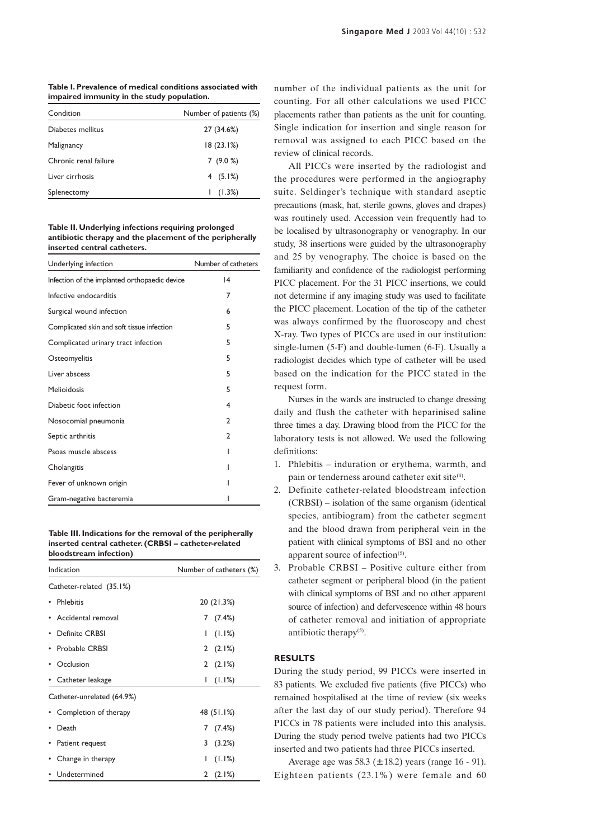**Table I. Prevalence of medical conditions associated with impaired immunity in the study population.**

| Condition             | Number of patients (%) |
|-----------------------|------------------------|
| Diabetes mellitus     | 27 (34.6%)             |
| Malignancy            | 18(23.1%)              |
| Chronic renal failure | 7(9.0%)                |
| Liver cirrhosis       | 4 $(5.1%)$             |
| Splenectomy           | (1.3%)                 |

**Table II. Underlying infections requiring prolonged antibiotic therapy and the placement of the peripherally inserted central catheters.**

| Underlying infection                          | Number of catheters |
|-----------------------------------------------|---------------------|
| Infection of the implanted orthopaedic device | 4                   |
| Infective endocarditis                        | 7                   |
| Surgical wound infection                      | 6                   |
| Complicated skin and soft tissue infection    | 5                   |
| Complicated urinary tract infection           | 5                   |
| Osteomyelitis                                 | 5                   |
| Liver abscess                                 | 5                   |
| Melioidosis                                   | 5                   |
| Diabetic foot infection                       | 4                   |
| Nosocomial pneumonia                          | $\mathfrak{p}$      |
| Septic arthritis                              | 2                   |
| Psoas muscle abscess                          |                     |
| Cholangitis                                   | ı                   |
| Fever of unknown origin                       |                     |
| Gram-negative bacteremia                      |                     |

**Table III. Indications for the removal of the peripherally inserted central catheter. (CRBSI – catheter-related bloodstream infection)**

| Indication                 | Number of catheters (%) |
|----------------------------|-------------------------|
| Catheter-related (35.1%)   |                         |
| • Phlebitis                | 20 (21.3%)              |
| • Accidental removal       | 7(7.4%)                 |
| <b>Definite CRBSI</b>      | (1.1%)<br>L             |
| • Probable CRBSI           | 2(2.1%)                 |
| • Occlusion                | 2(2.1%)                 |
| • Catheter leakage         | (1.1%)<br>$\mathsf{I}$  |
| Catheter-unrelated (64.9%) |                         |
| • Completion of therapy    | 48 (51.1%)              |
| Death                      | 7(7.4%)                 |
| Patient request            | 3<br>(3.2%)             |
| Change in therapy          | (1.1%)<br>I             |
| • Undetermined             | 2(2.1%)                 |

number of the individual patients as the unit for counting. For all other calculations we used PICC placements rather than patients as the unit for counting. Single indication for insertion and single reason for removal was assigned to each PICC based on the review of clinical records.

All PICCs were inserted by the radiologist and the procedures were performed in the angiography suite. Seldinger's technique with standard aseptic precautions (mask, hat, sterile gowns, gloves and drapes) was routinely used. Accession vein frequently had to be localised by ultrasonography or venography. In our study, 38 insertions were guided by the ultrasonography and 25 by venography. The choice is based on the familiarity and confidence of the radiologist performing PICC placement. For the 31 PICC insertions, we could not determine if any imaging study was used to facilitate the PICC placement. Location of the tip of the catheter was always confirmed by the fluoroscopy and chest X-ray. Two types of PICCs are used in our institution: single-lumen (5-F) and double-lumen (6-F). Usually a radiologist decides which type of catheter will be used based on the indication for the PICC stated in the request form.

Nurses in the wards are instructed to change dressing daily and flush the catheter with heparinised saline three times a day. Drawing blood from the PICC for the laboratory tests is not allowed. We used the following definitions:

- 1. Phlebitis induration or erythema, warmth, and pain or tenderness around catheter exit site<sup>(4)</sup>.
- 2. Definite catheter-related bloodstream infection (CRBSI) – isolation of the same organism (identical species, antibiogram) from the catheter segment and the blood drawn from peripheral vein in the patient with clinical symptoms of BSI and no other apparent source of infection $(5)$ .
- 3. Probable CRBSI Positive culture either from catheter segment or peripheral blood (in the patient with clinical symptoms of BSI and no other apparent source of infection) and defervescence within 48 hours of catheter removal and initiation of appropriate antibiotic therapy $(5)$ .

#### **RESULTS**

During the study period, 99 PICCs were inserted in 83 patients. We excluded five patients (five PICCs) who remained hospitalised at the time of review (six weeks after the last day of our study period). Therefore 94 PICCs in 78 patients were included into this analysis. During the study period twelve patients had two PICCs inserted and two patients had three PICCs inserted.

Average age was  $58.3 \pm 18.2$ ) years (range 16 - 91). Eighteen patients (23.1%) were female and 60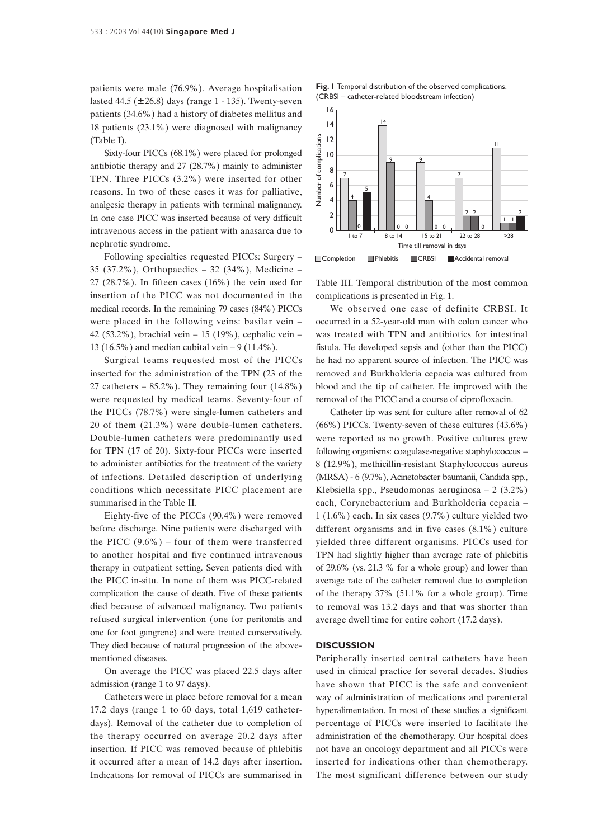patients were male (76.9%). Average hospitalisation lasted 44.5 (± 26.8) days (range 1 - 135). Twenty-seven patients (34.6%) had a history of diabetes mellitus and 18 patients (23.1%) were diagnosed with malignancy (Table I).

Sixty-four PICCs (68.1%) were placed for prolonged antibiotic therapy and 27 (28.7%) mainly to administer TPN. Three PICCs (3.2%) were inserted for other reasons. In two of these cases it was for palliative, analgesic therapy in patients with terminal malignancy. In one case PICC was inserted because of very difficult intravenous access in the patient with anasarca due to nephrotic syndrome.

Following specialties requested PICCs: Surgery – 35 (37.2%), Orthopaedics – 32 (34%), Medicine – 27 (28.7%). In fifteen cases (16%) the vein used for insertion of the PICC was not documented in the medical records. In the remaining 79 cases (84%) PICCs were placed in the following veins: basilar vein – 42 (53.2%), brachial vein – 15 (19%), cephalic vein – 13 (16.5%) and median cubital vein – 9 (11.4%).

Surgical teams requested most of the PICCs inserted for the administration of the TPN (23 of the 27 catheters  $-85.2\%$ ). They remaining four  $(14.8\%)$ were requested by medical teams. Seventy-four of the PICCs (78.7%) were single-lumen catheters and 20 of them (21.3%) were double-lumen catheters. Double-lumen catheters were predominantly used for TPN (17 of 20). Sixty-four PICCs were inserted to administer antibiotics for the treatment of the variety of infections. Detailed description of underlying conditions which necessitate PICC placement are summarised in the Table II.

Eighty-five of the PICCs (90.4%) were removed before discharge. Nine patients were discharged with the PICC  $(9.6\%)$  – four of them were transferred to another hospital and five continued intravenous therapy in outpatient setting. Seven patients died with the PICC in-situ. In none of them was PICC-related complication the cause of death. Five of these patients died because of advanced malignancy. Two patients refused surgical intervention (one for peritonitis and one for foot gangrene) and were treated conservatively. They died because of natural progression of the abovementioned diseases.

On average the PICC was placed 22.5 days after admission (range 1 to 97 days).

Catheters were in place before removal for a mean 17.2 days (range 1 to 60 days, total 1,619 catheterdays). Removal of the catheter due to completion of the therapy occurred on average 20.2 days after insertion. If PICC was removed because of phlebitis it occurred after a mean of 14.2 days after insertion. Indications for removal of PICCs are summarised in





Table III. Temporal distribution of the most common complications is presented in Fig. 1.

We observed one case of definite CRBSI. It occurred in a 52-year-old man with colon cancer who was treated with TPN and antibiotics for intestinal fistula. He developed sepsis and (other than the PICC) he had no apparent source of infection. The PICC was removed and Burkholderia cepacia was cultured from blood and the tip of catheter. He improved with the removal of the PICC and a course of ciprofloxacin.

Catheter tip was sent for culture after removal of 62 (66%) PICCs. Twenty-seven of these cultures (43.6%) were reported as no growth. Positive cultures grew following organisms: coagulase-negative staphylococcus – 8 (12.9%), methicillin-resistant Staphylococcus aureus (MRSA) - 6 (9.7%), Acinetobacter baumanii, Candida spp., Klebsiella spp., Pseudomonas aeruginosa – 2 (3.2%) each, Corynebacterium and Burkholderia cepacia – 1 (1.6%) each. In six cases (9.7%) culture yielded two different organisms and in five cases (8.1%) culture yielded three different organisms. PICCs used for TPN had slightly higher than average rate of phlebitis of 29.6% (vs. 21.3 % for a whole group) and lower than average rate of the catheter removal due to completion of the therapy 37% (51.1% for a whole group). Time to removal was 13.2 days and that was shorter than average dwell time for entire cohort (17.2 days).

#### **DISCUSSION**

Peripherally inserted central catheters have been used in clinical practice for several decades. Studies have shown that PICC is the safe and convenient way of administration of medications and parenteral hyperalimentation. In most of these studies a significant percentage of PICCs were inserted to facilitate the administration of the chemotherapy. Our hospital does not have an oncology department and all PICCs were inserted for indications other than chemotherapy. The most significant difference between our study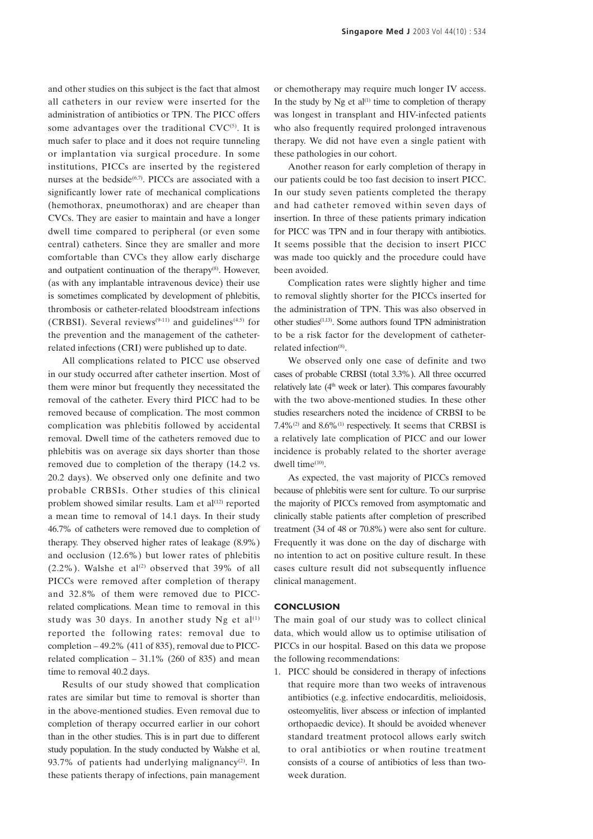and other studies on this subject is the fact that almost all catheters in our review were inserted for the administration of antibiotics or TPN. The PICC offers some advantages over the traditional  $\text{CVC}^{(5)}$ . It is much safer to place and it does not require tunneling or implantation via surgical procedure. In some institutions, PICCs are inserted by the registered nurses at the bedside $(6,7)$ . PICCs are associated with a significantly lower rate of mechanical complications (hemothorax, pneumothorax) and are cheaper than CVCs. They are easier to maintain and have a longer dwell time compared to peripheral (or even some central) catheters. Since they are smaller and more comfortable than CVCs they allow early discharge and outpatient continuation of the therapy<sup>(8)</sup>. However, (as with any implantable intravenous device) their use is sometimes complicated by development of phlebitis, thrombosis or catheter-related bloodstream infections (CRBSI). Several reviews<sup>(9-11)</sup> and guidelines<sup>(4,5)</sup> for the prevention and the management of the catheterrelated infections (CRI) were published up to date.

All complications related to PICC use observed in our study occurred after catheter insertion. Most of them were minor but frequently they necessitated the removal of the catheter. Every third PICC had to be removed because of complication. The most common complication was phlebitis followed by accidental removal. Dwell time of the catheters removed due to phlebitis was on average six days shorter than those removed due to completion of the therapy (14.2 vs. 20.2 days). We observed only one definite and two probable CRBSIs. Other studies of this clinical problem showed similar results. Lam et  $al^{(12)}$  reported a mean time to removal of 14.1 days. In their study 46.7% of catheters were removed due to completion of therapy. They observed higher rates of leakage (8.9%) and occlusion (12.6%) but lower rates of phlebitis  $(2.2\%)$ . Walshe et al<sup>(2)</sup> observed that 39% of all PICCs were removed after completion of therapy and 32.8% of them were removed due to PICCrelated complications. Mean time to removal in this study was 30 days. In another study Ng et  $al^{(1)}$ reported the following rates: removal due to completion – 49.2% (411 of 835), removal due to PICCrelated complication  $-31.1\%$  (260 of 835) and mean time to removal 40.2 days.

Results of our study showed that complication rates are similar but time to removal is shorter than in the above-mentioned studies. Even removal due to completion of therapy occurred earlier in our cohort than in the other studies. This is in part due to different study population. In the study conducted by Walshe et al, 93.7% of patients had underlying malignancy<sup>(2)</sup>. In these patients therapy of infections, pain management or chemotherapy may require much longer IV access. In the study by  $Ng$  et al<sup>(1)</sup> time to completion of therapy was longest in transplant and HIV-infected patients who also frequently required prolonged intravenous therapy. We did not have even a single patient with these pathologies in our cohort.

Another reason for early completion of therapy in our patients could be too fast decision to insert PICC. In our study seven patients completed the therapy and had catheter removed within seven days of insertion. In three of these patients primary indication for PICC was TPN and in four therapy with antibiotics. It seems possible that the decision to insert PICC was made too quickly and the procedure could have been avoided.

Complication rates were slightly higher and time to removal slightly shorter for the PICCs inserted for the administration of TPN. This was also observed in other studies(1,13). Some authors found TPN administration to be a risk factor for the development of catheterrelated infection<sup>(8)</sup>.

We observed only one case of definite and two cases of probable CRBSI (total 3.3%). All three occurred relatively late (4<sup>th</sup> week or later). This compares favourably with the two above-mentioned studies. In these other studies researchers noted the incidence of CRBSI to be 7.4%(2) and 8.6%(1) respectively. It seems that CRBSI is a relatively late complication of PICC and our lower incidence is probably related to the shorter average dwell time<sup>(10)</sup>.

As expected, the vast majority of PICCs removed because of phlebitis were sent for culture. To our surprise the majority of PICCs removed from asymptomatic and clinically stable patients after completion of prescribed treatment (34 of 48 or 70.8%) were also sent for culture. Frequently it was done on the day of discharge with no intention to act on positive culture result. In these cases culture result did not subsequently influence clinical management.

#### **CONCLUSION**

The main goal of our study was to collect clinical data, which would allow us to optimise utilisation of PICCs in our hospital. Based on this data we propose the following recommendations:

1. PICC should be considered in therapy of infections that require more than two weeks of intravenous antibiotics (e.g. infective endocarditis, melioidosis, osteomyelitis, liver abscess or infection of implanted orthopaedic device). It should be avoided whenever standard treatment protocol allows early switch to oral antibiotics or when routine treatment consists of a course of antibiotics of less than twoweek duration.